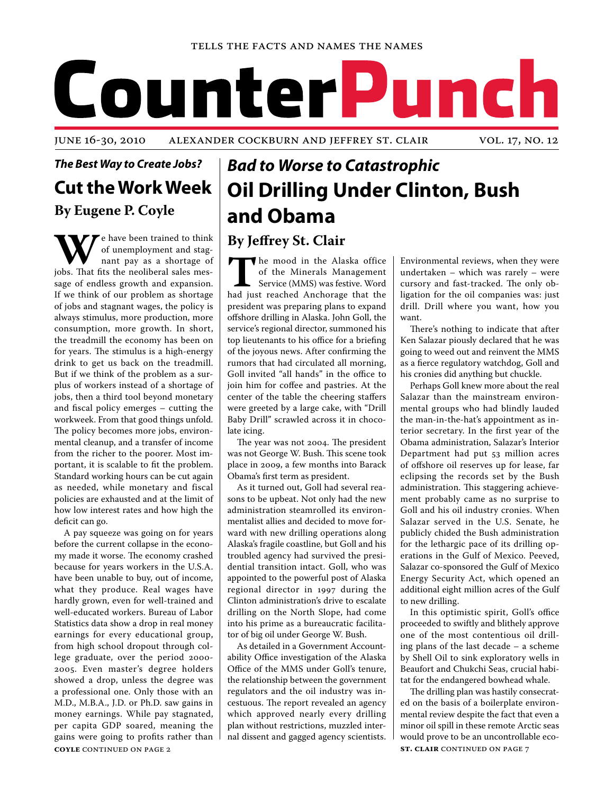#### Tells the Facts and Names the Names

# CounterP unch

### *The Best Way to Create Jobs?* **Cut the Work Week By Eugene P. Coyle**

**W By Jeffrey St. Clair** e have been trained to think jobs. That fits the neoliberal sales mesof unemployment and stagnant pay as a shortage of sage of endless growth and expansion. If we think of our problem as shortage of jobs and stagnant wages, the policy is always stimulus, more production, more consumption, more growth. In short, the treadmill the economy has been on for years. The stimulus is a high-energy drink to get us back on the treadmill. But if we think of the problem as a surplus of workers instead of a shortage of jobs, then a third tool beyond monetary and fiscal policy emerges – cutting the workweek. From that good things unfold. The policy becomes more jobs, environmental cleanup, and a transfer of income from the richer to the poorer. Most important, it is scalable to fit the problem. Standard working hours can be cut again as needed, while monetary and fiscal policies are exhausted and at the limit of how low interest rates and how high the deficit can go.

**COYLE** CONTINUED ON PAGE 2 A pay squeeze was going on for years before the current collapse in the economy made it worse. The economy crashed because for years workers in the U.S.A. have been unable to buy, out of income, what they produce. Real wages have hardly grown, even for well-trained and well-educated workers. Bureau of Labor Statistics data show a drop in real money earnings for every educational group, from high school dropout through college graduate, over the period 2000- 2005. Even master's degree holders showed a drop, unless the degree was a professional one. Only those with an M.D., M.B.A., J.D. or Ph.D. saw gains in money earnings. While pay stagnated, per capita GDP soared, meaning the gains were going to profits rather than

## *Bad to Worse to Catastrophic* **Oil Drilling Under Clinton, Bush and Obama**

The mood in the Alaska office<br>
of the Minerals Management<br>
Service (MMS) was festive. Word<br>
had just reached Anchorage that the of the Minerals Management Service (MMS) was festive. Word president was preparing plans to expand offshore drilling in Alaska. John Goll, the service's regional director, summoned his top lieutenants to his office for a briefing of the joyous news. After confirming the rumors that had circulated all morning, Goll invited "all hands" in the office to join him for coffee and pastries. At the center of the table the cheering staffers were greeted by a large cake, with "Drill Baby Drill" scrawled across it in chocolate icing.

The year was not 2004. The president was not George W. Bush. This scene took place in 2009, a few months into Barack Obama's first term as president.

As it turned out, Goll had several reasons to be upbeat. Not only had the new administration steamrolled its environmentalist allies and decided to move forward with new drilling operations along Alaska's fragile coastline, but Goll and his troubled agency had survived the presidential transition intact. Goll, who was appointed to the powerful post of Alaska regional director in 1997 during the Clinton administration's drive to escalate drilling on the North Slope, had come into his prime as a bureaucratic facilitator of big oil under George W. Bush.

As detailed in a Government Accountability Office investigation of the Alaska Office of the MMS under Goll's tenure, the relationship between the government regulators and the oil industry was incestuous. The report revealed an agency which approved nearly every drilling plan without restrictions, muzzled internal dissent and gagged agency scientists.

Environmental reviews, when they were undertaken – which was rarely – were cursory and fast-tracked. The only obligation for the oil companies was: just drill. Drill where you want, how you want.

There's nothing to indicate that after Ken Salazar piously declared that he was going to weed out and reinvent the MMS as a fierce regulatory watchdog, Goll and his cronies did anything but chuckle.

Perhaps Goll knew more about the real Salazar than the mainstream environmental groups who had blindly lauded the man-in-the-hat's appointment as interior secretary. In the first year of the Obama administration, Salazar's Interior Department had put 53 million acres of offshore oil reserves up for lease, far eclipsing the records set by the Bush administration. This staggering achievement probably came as no surprise to Goll and his oil industry cronies. When Salazar served in the U.S. Senate, he publicly chided the Bush administration for the lethargic pace of its drilling operations in the Gulf of Mexico. Peeved, Salazar co-sponsored the Gulf of Mexico Energy Security Act, which opened an additional eight million acres of the Gulf to new drilling.

In this optimistic spirit, Goll's office proceeded to swiftly and blithely approve one of the most contentious oil drilling plans of the last decade – a scheme by Shell Oil to sink exploratory wells in Beaufort and Chukchi Seas, crucial habitat for the endangered bowhead whale.

**st. clair** continued on page 7 The drilling plan was hastily consecrated on the basis of a boilerplate environmental review despite the fact that even a minor oil spill in these remote Arctic seas would prove to be an uncontrollable eco-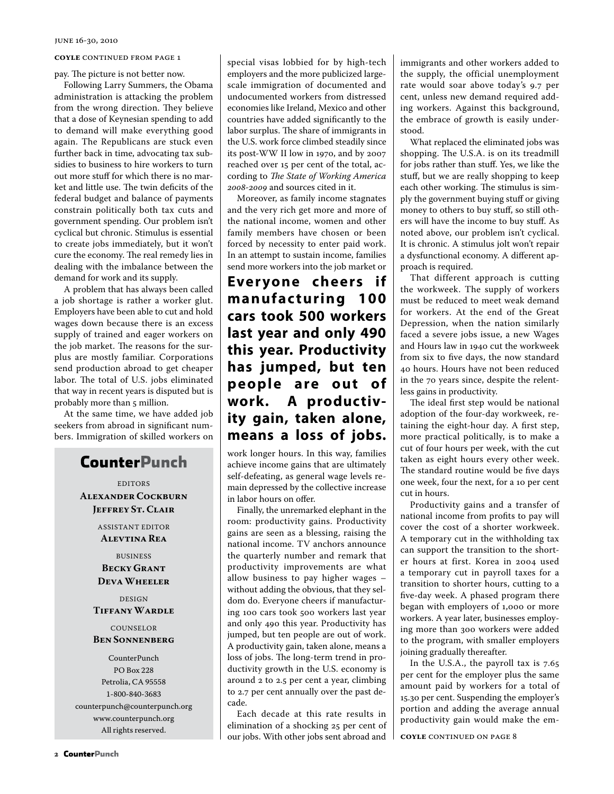#### **COYLE** CONTINUED FROM PAGE 1

pay. The picture is not better now.

Following Larry Summers, the Obama administration is attacking the problem from the wrong direction. They believe that a dose of Keynesian spending to add to demand will make everything good again. The Republicans are stuck even further back in time, advocating tax subsidies to business to hire workers to turn out more stuff for which there is no market and little use. The twin deficits of the federal budget and balance of payments constrain politically both tax cuts and government spending. Our problem isn't cyclical but chronic. Stimulus is essential to create jobs immediately, but it won't cure the economy. The real remedy lies in dealing with the imbalance between the demand for work and its supply.

A problem that has always been called a job shortage is rather a worker glut. Employers have been able to cut and hold wages down because there is an excess supply of trained and eager workers on the job market. The reasons for the surplus are mostly familiar. Corporations send production abroad to get cheaper labor. The total of U.S. jobs eliminated that way in recent years is disputed but is probably more than 5 million.

At the same time, we have added job seekers from abroad in significant numbers. Immigration of skilled workers on

### **CounterPunch**

**EDITORS Alexander Cockburn Jeffrey St. Clair**

> ASSISTANT EDITOR **Alevtina Rea**

BUSINESS **Becky Grant Deva Wheeler**

DESIGN **Tiffany Wardle**

#### COUNSELOR **Ben Sonnenberg**

CounterPunch PO Box 228 Petrolia, CA 95558 1-800-840-3683 counterpunch@counterpunch.org www.counterpunch.org All rights reserved.

special visas lobbied for by high-tech employers and the more publicized largescale immigration of documented and undocumented workers from distressed economies like Ireland, Mexico and other countries have added significantly to the labor surplus. The share of immigrants in the U.S. work force climbed steadily since its post-WW II low in 1970, and by 2007 reached over 15 per cent of the total, according to *The State of Working America 2008-2009* and sources cited in it.

Moreover, as family income stagnates and the very rich get more and more of the national income, women and other family members have chosen or been forced by necessity to enter paid work. In an attempt to sustain income, families send more workers into the job market or

**Ever yone cheers if manufacturing 100 cars took 500 workers last year and only 490 this year. Productivity has jumped, but ten people are out of work. A productivity gain, taken alone, means a loss of jobs.** 

work longer hours. In this way, families achieve income gains that are ultimately self-defeating, as general wage levels remain depressed by the collective increase in labor hours on offer.

Finally, the unremarked elephant in the room: productivity gains. Productivity gains are seen as a blessing, raising the national income. TV anchors announce the quarterly number and remark that productivity improvements are what allow business to pay higher wages – without adding the obvious, that they seldom do. Everyone cheers if manufacturing 100 cars took 500 workers last year and only 490 this year. Productivity has jumped, but ten people are out of work. A productivity gain, taken alone, means a loss of jobs. The long-term trend in productivity growth in the U.S. economy is around 2 to 2.5 per cent a year, climbing to 2.7 per cent annually over the past decade.

Each decade at this rate results in elimination of a shocking 25 per cent of our jobs. With other jobs sent abroad and immigrants and other workers added to the supply, the official unemployment rate would soar above today's 9.7 per cent, unless new demand required adding workers. Against this background, the embrace of growth is easily understood.

What replaced the eliminated jobs was shopping. The U.S.A. is on its treadmill for jobs rather than stuff. Yes, we like the stuff, but we are really shopping to keep each other working. The stimulus is simply the government buying stuff or giving money to others to buy stuff, so still others will have the income to buy stuff. As noted above, our problem isn't cyclical. It is chronic. A stimulus jolt won't repair a dysfunctional economy. A different approach is required.

That different approach is cutting the workweek. The supply of workers must be reduced to meet weak demand for workers. At the end of the Great Depression, when the nation similarly faced a severe jobs issue, a new Wages and Hours law in 1940 cut the workweek from six to five days, the now standard 40 hours. Hours have not been reduced in the 70 years since, despite the relentless gains in productivity.

The ideal first step would be national adoption of the four-day workweek, retaining the eight-hour day. A first step, more practical politically, is to make a cut of four hours per week, with the cut taken as eight hours every other week. The standard routine would be five days one week, four the next, for a 10 per cent cut in hours.

Productivity gains and a transfer of national income from profits to pay will cover the cost of a shorter workweek. A temporary cut in the withholding tax can support the transition to the shorter hours at first. Korea in 2004 used a temporary cut in payroll taxes for a transition to shorter hours, cutting to a five-day week. A phased program there began with employers of 1,000 or more workers. A year later, businesses employing more than 300 workers were added to the program, with smaller employers joining gradually thereafter.

In the U.S.A., the payroll tax is 7.65 per cent for the employer plus the same amount paid by workers for a total of 15.30 per cent. Suspending the employer's portion and adding the average annual productivity gain would make the em-

**coyle** continued on page 8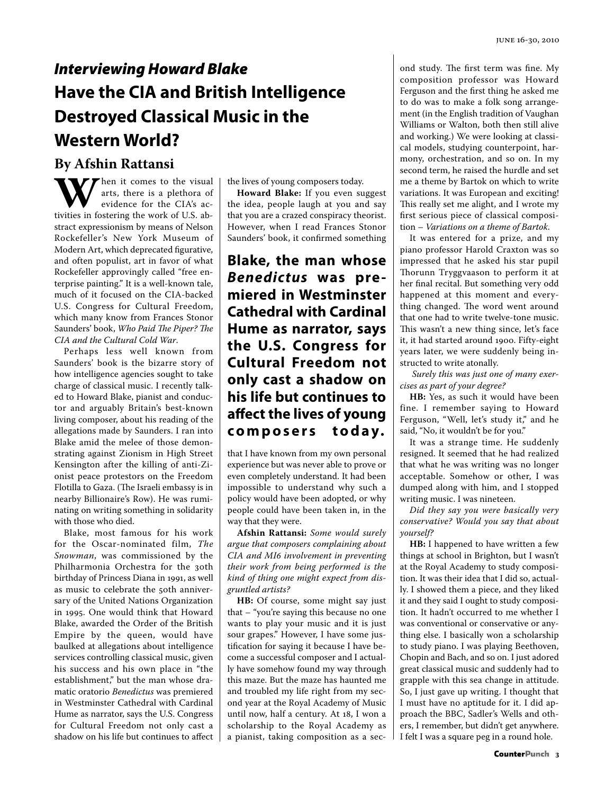## *Interviewing Howard Blake* **Have the CIA and British Intelligence Destroyed Classical Music in the Western World?**

**W** hen it comes to the visual<br>evidence for the CIA's activities in fostering the work of U.S. abarts, there is a plethora of evidence for the CIA's acstract expressionism by means of Nelson Rockefeller's New York Museum of Modern Art, which deprecated figurative, and often populist, art in favor of what Rockefeller approvingly called "free enterprise painting." It is a well-known tale, much of it focused on the CIA-backed U.S. Congress for Cultural Freedom, which many know from Frances Stonor Saunders' book, *Who Paid The Piper? The CIA and the Cultural Cold War*. **By Afshin Rattansi**<br>**TV** *T* hen it comes to the visual

Perhaps less well known from Saunders' book is the bizarre story of how intelligence agencies sought to take charge of classical music. I recently talked to Howard Blake, pianist and conductor and arguably Britain's best-known living composer, about his reading of the allegations made by Saunders. I ran into Blake amid the melee of those demonstrating against Zionism in High Street Kensington after the killing of anti-Zionist peace protestors on the Freedom Flotilla to Gaza. (The Israeli embassy is in nearby Billionaire's Row). He was ruminating on writing something in solidarity with those who died.

Blake, most famous for his work for the Oscar-nominated film, *The Snowman*, was commissioned by the Philharmonia Orchestra for the 30th birthday of Princess Diana in 1991, as well as music to celebrate the 50th anniversary of the United Nations Organization in 1995. One would think that Howard Blake, awarded the Order of the British Empire by the queen, would have baulked at allegations about intelligence services controlling classical music, given his success and his own place in "the establishment," but the man whose dramatic oratorio *Benedictus* was premiered in Westminster Cathedral with Cardinal Hume as narrator, says the U.S. Congress for Cultural Freedom not only cast a shadow on his life but continues to affect the lives of young composers today.

**Howard Blake:** If you even suggest the idea, people laugh at you and say that you are a crazed conspiracy theorist. However, when I read Frances Stonor Saunders' book, it confirmed something

### **Blake, the man whose**  *Benedictus* **was premiered in Westminster Cathedral with Cardinal Hume as narrator, says the U.S. Congress for Cultural Freedom not only cast a shadow on his life but continues to affect the lives of young c o m p o s e r s t o d a y.**

that I have known from my own personal experience but was never able to prove or even completely understand. It had been impossible to understand why such a policy would have been adopted, or why people could have been taken in, in the way that they were.

**Afshin Rattansi:** *Some would surely argue that composers complaining about CIA and MI6 involvement in preventing their work from being performed is the kind of thing one might expect from disgruntled artists?*

**HB:** Of course, some might say just that – "you're saying this because no one wants to play your music and it is just sour grapes." However, I have some justification for saying it because I have become a successful composer and I actually have somehow found my way through this maze. But the maze has haunted me and troubled my life right from my second year at the Royal Academy of Music until now, half a century. At 18, I won a scholarship to the Royal Academy as a pianist, taking composition as a second study. The first term was fine. My composition professor was Howard Ferguson and the first thing he asked me to do was to make a folk song arrangement (in the English tradition of Vaughan Williams or Walton, both then still alive and working.) We were looking at classical models, studying counterpoint, harmony, orchestration, and so on. In my second term, he raised the hurdle and set me a theme by Bartok on which to write variations. It was European and exciting! This really set me alight, and I wrote my first serious piece of classical composition – *Variations on a theme of Bartok*.

It was entered for a prize, and my piano professor Harold Craxton was so impressed that he asked his star pupil Thorunn Tryggvaason to perform it at her final recital. But something very odd happened at this moment and everything changed. The word went around that one had to write twelve-tone music. This wasn't a new thing since, let's face it, it had started around 1900. Fifty-eight years later, we were suddenly being instructed to write atonally.

*Surely this was just one of many exercises as part of your degree?* 

HB: Yes, as such it would have been fine. I remember saying to Howard Ferguson, "Well, let's study it," and he said, "No, it wouldn't be for you."

It was a strange time. He suddenly resigned. It seemed that he had realized that what he was writing was no longer acceptable. Somehow or other, I was dumped along with him, and I stopped writing music. I was nineteen.

*Did they say you were basically very conservative? Would you say that about yourself?* 

**HB:** I happened to have written a few things at school in Brighton, but I wasn't at the Royal Academy to study composition. It was their idea that I did so, actually. I showed them a piece, and they liked it and they said I ought to study composition. It hadn't occurred to me whether I was conventional or conservative or anything else. I basically won a scholarship to study piano. I was playing Beethoven, Chopin and Bach, and so on. I just adored great classical music and suddenly had to grapple with this sea change in attitude. So, I just gave up writing. I thought that I must have no aptitude for it. I did approach the BBC, Sadler's Wells and others, I remember, but didn't get anywhere. I felt I was a square peg in a round hole.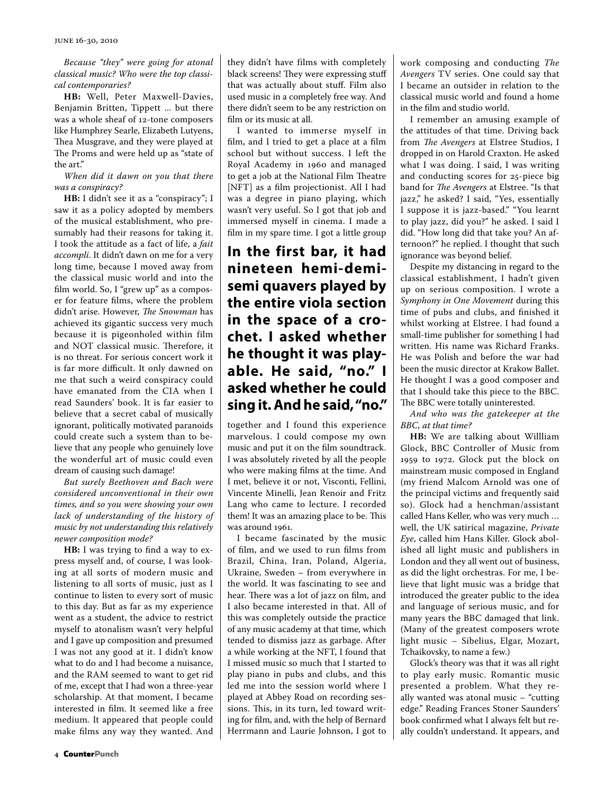*Because "they" were going for atonal classical music? Who were the top classical contemporaries?* 

**HB:** Well, Peter Maxwell-Davies, Benjamin Britten, Tippett ... but there was a whole sheaf of 12-tone composers like Humphrey Searle, Elizabeth Lutyens, Thea Musgrave, and they were played at The Proms and were held up as "state of the art."

*When did it dawn on you that there was a conspiracy?*

**HB:** I didn't see it as a "conspiracy"; I saw it as a policy adopted by members of the musical establishment, who presumably had their reasons for taking it. I took the attitude as a fact of life, a *fait accompli*. It didn't dawn on me for a very long time, because I moved away from the classical music world and into the film world. So, I "grew up" as a composer for feature films, where the problem didn't arise. However, *The Snowman* has achieved its gigantic success very much because it is pigeonholed within film and NOT classical music. Therefore, it is no threat. For serious concert work it is far more difficult. It only dawned on me that such a weird conspiracy could have emanated from the CIA when I read Saunders' book. It is far easier to believe that a secret cabal of musically ignorant, politically motivated paranoids could create such a system than to believe that any people who genuinely love the wonderful art of music could even dream of causing such damage!

*But surely Beethoven and Bach were considered unconventional in their own times, and so you were showing your own lack of understanding of the history of music by not understanding this relatively newer composition mode?*

**HB:** I was trying to find a way to express myself and, of course, I was looking at all sorts of modern music and listening to all sorts of music, just as I continue to listen to every sort of music to this day. But as far as my experience went as a student, the advice to restrict myself to atonalism wasn't very helpful and I gave up composition and presumed I was not any good at it. I didn't know what to do and I had become a nuisance, and the RAM seemed to want to get rid of me, except that I had won a three-year scholarship. At that moment, I became interested in film. It seemed like a free medium. It appeared that people could make films any way they wanted. And

they didn't have films with completely black screens! They were expressing stuff that was actually about stuff. Film also used music in a completely free way. And there didn't seem to be any restriction on film or its music at all.

I wanted to immerse myself in film, and I tried to get a place at a film school but without success. I left the Royal Academy in 1960 and managed to get a job at the National Film Theatre [NFT] as a film projectionist. All I had was a degree in piano playing, which wasn't very useful. So I got that job and immersed myself in cinema. I made a film in my spare time. I got a little group

### **In the first bar, it had nineteen hemi-demisemi quavers played by the entire viola section in the space of a crochet. I asked whether he thought it was playable. He said, "no." I asked whether he could sing it. And he said, "no."**

together and I found this experience marvelous. I could compose my own music and put it on the film soundtrack. I was absolutely riveted by all the people who were making films at the time. And I met, believe it or not, Visconti, Fellini, Vincente Minelli, Jean Renoir and Fritz Lang who came to lecture. I recorded them! It was an amazing place to be. This was around 1961.

I became fascinated by the music of film, and we used to run films from Brazil, China, Iran, Poland, Algeria, Ukraine, Sweden – from everywhere in the world. It was fascinating to see and hear. There was a lot of jazz on film, and I also became interested in that. All of this was completely outside the practice of any music academy at that time, which tended to dismiss jazz as garbage. After a while working at the NFT, I found that I missed music so much that I started to play piano in pubs and clubs, and this led me into the session world where I played at Abbey Road on recording sessions. This, in its turn, led toward writing for film, and, with the help of Bernard Herrmann and Laurie Johnson, I got to

work composing and conducting *The Avengers* TV series. One could say that I became an outsider in relation to the classical music world and found a home in the film and studio world.

I remember an amusing example of the attitudes of that time. Driving back from *The Avengers* at Elstree Studios, I dropped in on Harold Craxton. He asked what I was doing. I said, I was writing and conducting scores for 25-piece big band for *The Avengers* at Elstree. "Is that jazz," he asked? I said, "Yes, essentially I suppose it is jazz-based." "You learnt to play jazz, did you?" he asked. I said I did. "How long did that take you? An afternoon?" he replied. I thought that such ignorance was beyond belief.

Despite my distancing in regard to the classical establishment, I hadn't given up on serious composition. I wrote a *Symphony in One Movement* during this time of pubs and clubs, and finished it whilst working at Elstree. I had found a small-time publisher for something I had written. His name was Richard Franks. He was Polish and before the war had been the music director at Krakow Ballet. He thought I was a good composer and that I should take this piece to the BBC. The BBC were totally uninterested.

*And who was the gatekeeper at the BBC, at that time?*

**HB:** We are talking about Willliam Glock, BBC Controller of Music from 1959 to 1972. Glock put the block on mainstream music composed in England (my friend Malcom Arnold was one of the principal victims and frequently said so). Glock had a henchman/assistant called Hans Keller, who was very much … well, the UK satirical magazine, *Private Eye*, called him Hans Killer. Glock abolished all light music and publishers in London and they all went out of business, as did the light orchestras. For me, I believe that light music was a bridge that introduced the greater public to the idea and language of serious music, and for many years the BBC damaged that link. (Many of the greatest composers wrote light music – Sibelius, Elgar, Mozart, Tchaikovsky, to name a few.)

Glock's theory was that it was all right to play early music. Romantic music presented a problem. What they really wanted was atonal music – "cutting edge." Reading Frances Stoner Saunders' book confirmed what I always felt but really couldn't understand. It appears, and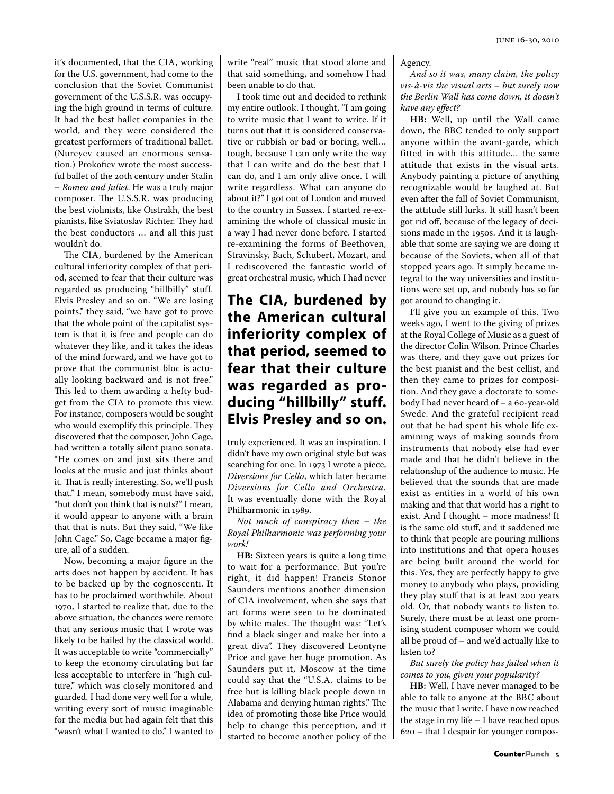it's documented, that the CIA, working for the U.S. government, had come to the conclusion that the Soviet Communist government of the U.S.S.R. was occupying the high ground in terms of culture. It had the best ballet companies in the world, and they were considered the greatest performers of traditional ballet. (Nureyev caused an enormous sensation.) Prokofiev wrote the most successful ballet of the 20th century under Stalin – *Romeo and Juliet*. He was a truly major composer. The U.S.S.R. was producing the best violinists, like Oistrakh, the best pianists, like Sviatoslav Richter. They had the best conductors … and all this just wouldn't do.

The CIA, burdened by the American cultural inferiority complex of that period, seemed to fear that their culture was regarded as producing "hillbilly" stuff. Elvis Presley and so on. "We are losing points," they said, "we have got to prove that the whole point of the capitalist system is that it is free and people can do whatever they like, and it takes the ideas of the mind forward, and we have got to prove that the communist bloc is actually looking backward and is not free." This led to them awarding a hefty budget from the CIA to promote this view. For instance, composers would be sought who would exemplify this principle. They discovered that the composer, John Cage, had written a totally silent piano sonata. "He comes on and just sits there and looks at the music and just thinks about it. That is really interesting. So, we'll push that." I mean, somebody must have said, ''but don't you think that is nuts?" I mean, it would appear to anyone with a brain that that is nuts. But they said, "We like John Cage." So, Cage became a major figure, all of a sudden.

Now, becoming a major figure in the arts does not happen by accident. It has to be backed up by the cognoscenti. It has to be proclaimed worthwhile. About 1970, I started to realize that, due to the above situation, the chances were remote that any serious music that I wrote was likely to be hailed by the classical world. It was acceptable to write "commercially" to keep the economy circulating but far less acceptable to interfere in "high culture," which was closely monitored and guarded. I had done very well for a while, writing every sort of music imaginable for the media but had again felt that this "wasn't what I wanted to do." I wanted to write "real" music that stood alone and that said something, and somehow I had been unable to do that.

I took time out and decided to rethink my entire outlook. I thought, ''I am going to write music that I want to write. If it turns out that it is considered conservative or rubbish or bad or boring, well… tough, because I can only write the way that I can write and do the best that I can do, and I am only alive once. I will write regardless. What can anyone do about it?" I got out of London and moved to the country in Sussex. I started re-examining the whole of classical music in a way I had never done before. I started re-examining the forms of Beethoven, Stravinsky, Bach, Schubert, Mozart, and I rediscovered the fantastic world of great orchestral music, which I had never

### **The CIA, burdened by the American cultural inferiority complex of that period, seemed to fear that their culture was regarded as producing "hillbilly" stuff. Elvis Presley and so on.**

truly experienced. It was an inspiration. I didn't have my own original style but was searching for one. In 1973 I wrote a piece, *Diversions for Cello*, which later became *Diversions for Cello and Orchestra.* It was eventually done with the Royal Philharmonic in 1989.

*Not much of conspiracy then – the Royal Philharmonic was performing your work!* 

**HB:** Sixteen years is quite a long time to wait for a performance. But you're right, it did happen! Francis Stonor Saunders mentions another dimension of CIA involvement, when she says that art forms were seen to be dominated by white males. The thought was: ''Let's find a black singer and make her into a great diva''. They discovered Leontyne Price and gave her huge promotion. As Saunders put it, Moscow at the time could say that the "U.S.A. claims to be free but is killing black people down in Alabama and denying human rights.'' The idea of promoting those like Price would help to change this perception, and it started to become another policy of the Agency.

*And so it was, many claim, the policy vis-à-vis the visual arts – but surely now the Berlin Wall has come down, it doesn't have any effect?*

**HB:** Well, up until the Wall came down, the BBC tended to only support anyone within the avant-garde, which fitted in with this attitude… the same attitude that exists in the visual arts. Anybody painting a picture of anything recognizable would be laughed at. But even after the fall of Soviet Communism, the attitude still lurks. It still hasn't been got rid off, because of the legacy of decisions made in the 1950s. And it is laughable that some are saying we are doing it because of the Soviets, when all of that stopped years ago. It simply became integral to the way universities and institutions were set up, and nobody has so far got around to changing it.

I'll give you an example of this. Two weeks ago, I went to the giving of prizes at the Royal College of Music as a guest of the director Colin Wilson. Prince Charles was there, and they gave out prizes for the best pianist and the best cellist, and then they came to prizes for composition. And they gave a doctorate to somebody I had never heard of – a 60-year-old Swede. And the grateful recipient read out that he had spent his whole life examining ways of making sounds from instruments that nobody else had ever made and that he didn't believe in the relationship of the audience to music. He believed that the sounds that are made exist as entities in a world of his own making and that that world has a right to exist. And I thought – more madness! It is the same old stuff, and it saddened me to think that people are pouring millions into institutions and that opera houses are being built around the world for this. Yes, they are perfectly happy to give money to anybody who plays, providing they play stuff that is at least 200 years old. Or, that nobody wants to listen to. Surely, there must be at least one promising student composer whom we could all be proud of – and we'd actually like to listen to?

*But surely the policy has failed when it comes to you, given your popularity?*

**HB:** Well, I have never managed to be able to talk to anyone at the BBC about the music that I write. I have now reached the stage in my life – I have reached opus 620 – that I despair for younger compos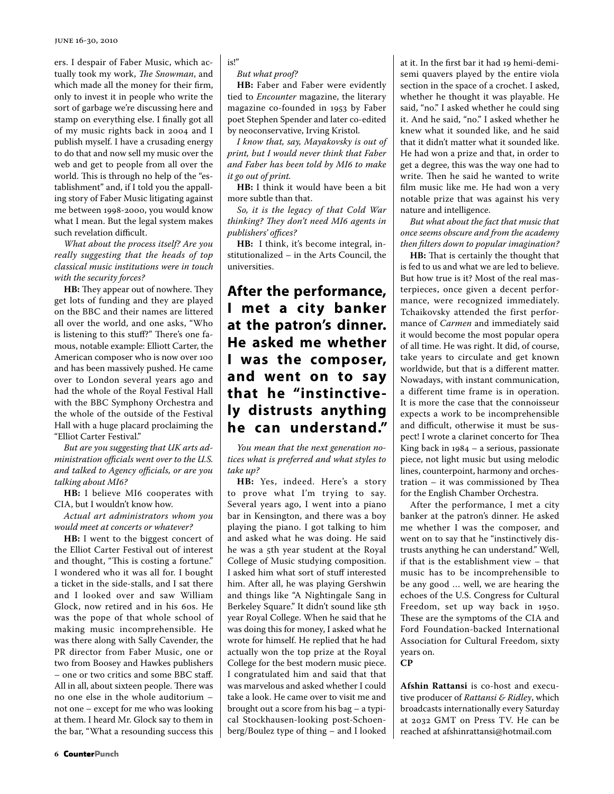ers. I despair of Faber Music, which actually took my work, *The Snowman*, and which made all the money for their firm, only to invest it in people who write the sort of garbage we're discussing here and stamp on everything else. I finally got all of my music rights back in 2004 and I publish myself. I have a crusading energy to do that and now sell my music over the web and get to people from all over the world. This is through no help of the "establishment" and, if I told you the appalling story of Faber Music litigating against me between 1998-2000, you would know what I mean. But the legal system makes such revelation difficult.

*What about the process itself? Are you really suggesting that the heads of top classical music institutions were in touch with the security forces?* 

**HB:** They appear out of nowhere. They get lots of funding and they are played on the BBC and their names are littered all over the world, and one asks, "Who is listening to this stuff?" There's one famous, notable example: Elliott Carter, the American composer who is now over 100 and has been massively pushed. He came over to London several years ago and had the whole of the Royal Festival Hall with the BBC Symphony Orchestra and the whole of the outside of the Festival Hall with a huge placard proclaiming the "Elliot Carter Festival."

*But are you suggesting that UK arts administration officials went over to the U.S. and talked to Agency officials, or are you talking about MI6?* 

**HB:** I believe MI6 cooperates with CIA, but I wouldn't know how.

*Actual art administrators whom you would meet at concerts or whatever?*

**HB:** I went to the biggest concert of the Elliot Carter Festival out of interest and thought, "This is costing a fortune." I wondered who it was all for. I bought a ticket in the side-stalls, and I sat there and I looked over and saw William Glock, now retired and in his 60s. He was the pope of that whole school of making music incomprehensible. He was there along with Sally Cavender, the PR director from Faber Music, one or two from Boosey and Hawkes publishers – one or two critics and some BBC staff. All in all, about sixteen people. There was no one else in the whole auditorium – not one – except for me who was looking at them. I heard Mr. Glock say to them in the bar, "What a resounding success this

is!"

*But what proof?* 

**HB:** Faber and Faber were evidently tied to *Encounter* magazine, the literary magazine co-founded in 1953 by Faber poet Stephen Spender and later co-edited by neoconservative, Irving Kristol.

*I know that, say, Mayakovsky is out of print, but I would never think that Faber and Faber has been told by MI6 to make it go out of print.* 

**HB:** I think it would have been a bit more subtle than that.

*So, it is the legacy of that Cold War thinking? They don't need MI6 agents in publishers' offices?*

**HB:** I think, it's become integral, institutionalized – in the Arts Council, the universities.

### **After the performance, I met a city banker at the patron's dinner. He asked me whether I was the composer, and went on to say that he "instinctively distrusts anything he can understand."**

*You mean that the next generation notices what is preferred and what styles to take up?* 

**HB:** Yes, indeed. Here's a story to prove what I'm trying to say. Several years ago, I went into a piano bar in Kensington, and there was a boy playing the piano. I got talking to him and asked what he was doing. He said he was a 5th year student at the Royal College of Music studying composition. I asked him what sort of stuff interested him. After all, he was playing Gershwin and things like "A Nightingale Sang in Berkeley Square." It didn't sound like 5th year Royal College. When he said that he was doing this for money, I asked what he wrote for himself. He replied that he had actually won the top prize at the Royal College for the best modern music piece. I congratulated him and said that that was marvelous and asked whether I could take a look. He came over to visit me and brought out a score from his bag – a typical Stockhausen-looking post-Schoenberg/Boulez type of thing – and I looked at it. In the first bar it had 19 hemi-demisemi quavers played by the entire viola section in the space of a crochet. I asked, whether he thought it was playable. He said, "no." I asked whether he could sing it. And he said, "no." I asked whether he knew what it sounded like, and he said that it didn't matter what it sounded like. He had won a prize and that, in order to get a degree, this was the way one had to write. Then he said he wanted to write film music like me. He had won a very notable prize that was against his very nature and intelligence.

*But what about the fact that music that once seems obscure and from the academy then filters down to popular imagination?*

**HB:** That is certainly the thought that is fed to us and what we are led to believe. But how true is it? Most of the real masterpieces, once given a decent performance, were recognized immediately. Tchaikovsky attended the first performance of *Carmen* and immediately said it would become the most popular opera of all time. He was right. It did, of course, take years to circulate and get known worldwide, but that is a different matter. Nowadays, with instant communication, a different time frame is in operation. It is more the case that the connoisseur expects a work to be incomprehensible and difficult, otherwise it must be suspect! I wrote a clarinet concerto for Thea King back in 1984 – a serious, passionate piece, not light music but using melodic lines, counterpoint, harmony and orchestration – it was commissioned by Thea for the English Chamber Orchestra.

After the performance, I met a city banker at the patron's dinner. He asked me whether I was the composer, and went on to say that he "instinctively distrusts anything he can understand." Well, if that is the establishment view – that music has to be incomprehensible to be any good … well, we are hearing the echoes of the U.S. Congress for Cultural Freedom, set up way back in 1950. These are the symptoms of the CIA and Ford Foundation-backed International Association for Cultural Freedom, sixty years on.

**CP**

**Afshin Rattansi** is co-host and executive producer of *Rattansi & Ridley*, which broadcasts internationally every Saturday at 2032 GMT on Press TV. He can be reached at afshinrattansi@hotmail.com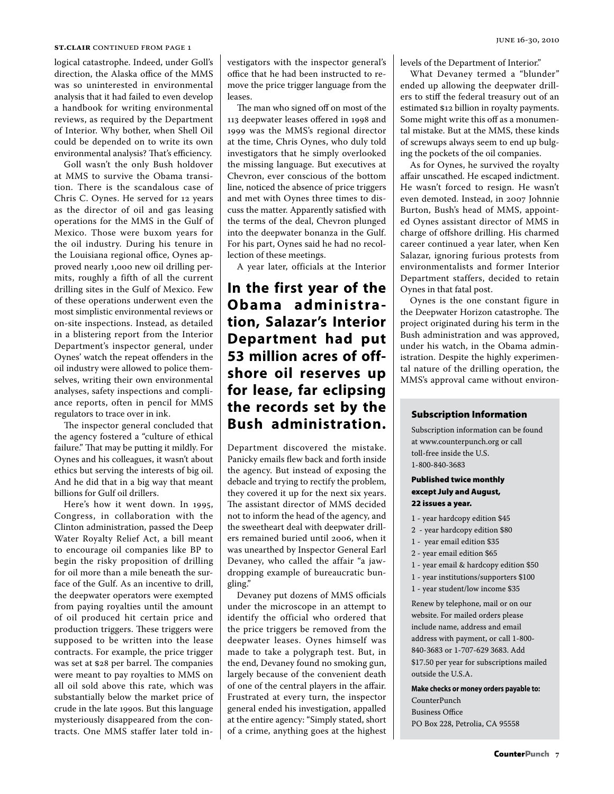#### **st.clair** continued from page 1

logical catastrophe. Indeed, under Goll's direction, the Alaska office of the MMS was so uninterested in environmental analysis that it had failed to even develop a handbook for writing environmental reviews, as required by the Department of Interior. Why bother, when Shell Oil could be depended on to write its own environmental analysis? That's efficiency.

Goll wasn't the only Bush holdover at MMS to survive the Obama transition. There is the scandalous case of Chris C. Oynes. He served for 12 years as the director of oil and gas leasing operations for the MMS in the Gulf of Mexico. Those were buxom years for the oil industry. During his tenure in the Louisiana regional office, Oynes approved nearly 1,000 new oil drilling permits, roughly a fifth of all the current drilling sites in the Gulf of Mexico. Few of these operations underwent even the most simplistic environmental reviews or on-site inspections. Instead, as detailed in a blistering report from the Interior Department's inspector general, under Oynes' watch the repeat offenders in the oil industry were allowed to police themselves, writing their own environmental analyses, safety inspections and compliance reports, often in pencil for MMS regulators to trace over in ink.

The inspector general concluded that the agency fostered a "culture of ethical failure." That may be putting it mildly. For Oynes and his colleagues, it wasn't about ethics but serving the interests of big oil. And he did that in a big way that meant billions for Gulf oil drillers.

Here's how it went down. In 1995, Congress, in collaboration with the Clinton administration, passed the Deep Water Royalty Relief Act, a bill meant to encourage oil companies like BP to begin the risky proposition of drilling for oil more than a mile beneath the surface of the Gulf. As an incentive to drill, the deepwater operators were exempted from paying royalties until the amount of oil produced hit certain price and production triggers. These triggers were supposed to be written into the lease contracts. For example, the price trigger was set at \$28 per barrel. The companies were meant to pay royalties to MMS on all oil sold above this rate, which was substantially below the market price of crude in the late 1990s. But this language mysteriously disappeared from the contracts. One MMS staffer later told investigators with the inspector general's office that he had been instructed to remove the price trigger language from the leases.

The man who signed off on most of the 113 deepwater leases offered in 1998 and 1999 was the MMS's regional director at the time, Chris Oynes, who duly told investigators that he simply overlooked the missing language. But executives at Chevron, ever conscious of the bottom line, noticed the absence of price triggers and met with Oynes three times to discuss the matter. Apparently satisfied with the terms of the deal, Chevron plunged into the deepwater bonanza in the Gulf. For his part, Oynes said he had no recollection of these meetings.

A year later, officials at the Interior

### **In the first year of the Obama administra tion, Salazar's Interior Department had put 53 million acres of offshore oil reserves up for lease, far eclipsing the records set by the Bush administration.**

Department discovered the mistake. Panicky emails flew back and forth inside the agency. But instead of exposing the debacle and trying to rectify the problem, they covered it up for the next six years. The assistant director of MMS decided not to inform the head of the agency, and the sweetheart deal with deepwater drillers remained buried until 2006, when it was unearthed by Inspector General Earl Devaney, who called the affair "a jawdropping example of bureaucratic bungling."

Devaney put dozens of MMS officials under the microscope in an attempt to identify the official who ordered that the price triggers be removed from the deepwater leases. Oynes himself was made to take a polygraph test. But, in the end, Devaney found no smoking gun, largely because of the convenient death of one of the central players in the affair. Frustrated at every turn, the inspector general ended his investigation, appalled at the entire agency: "Simply stated, short of a crime, anything goes at the highest levels of the Department of Interior."

What Devaney termed a "blunder" ended up allowing the deepwater drillers to stiff the federal treasury out of an estimated \$12 billion in royalty payments. Some might write this off as a monumental mistake. But at the MMS, these kinds of screwups always seem to end up bulging the pockets of the oil companies.

As for Oynes, he survived the royalty affair unscathed. He escaped indictment. He wasn't forced to resign. He wasn't even demoted. Instead, in 2007 Johnnie Burton, Bush's head of MMS, appointed Oynes assistant director of MMS in charge of offshore drilling. His charmed career continued a year later, when Ken Salazar, ignoring furious protests from environmentalists and former Interior Department staffers, decided to retain Oynes in that fatal post.

Oynes is the one constant figure in the Deepwater Horizon catastrophe. The project originated during his term in the Bush administration and was approved, under his watch, in the Obama administration. Despite the highly experimental nature of the drilling operation, the MMS's approval came without environ-

#### Subscription Information

Subscription information can be found at www.counterpunch.org or call toll-free inside the U.S. 1-800-840-3683

#### Published twice monthly except July and August, 22 issues a year.

- 1 year hardcopy edition \$45
- 2 year hardcopy edition \$80
- 1 year email edition \$35
- 2 year email edition \$65
- 1 year email & hardcopy edition \$50
- 1 year institutions/supporters \$100
- 1 year student/low income \$35

Renew by telephone, mail or on our website. For mailed orders please include name, address and email address with payment, or call 1-800- 840-3683 or 1-707-629 3683. Add \$17.50 per year for subscriptions mailed outside the U.S.A.

**Make checks or money orders payable to:** 

CounterPunch Business Office PO Box 228, Petrolia, CA 95558